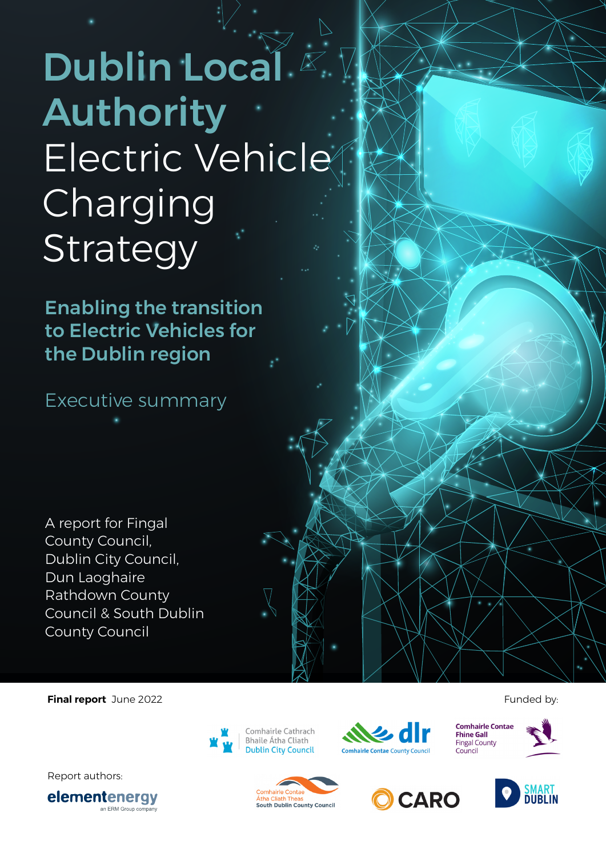# Dublin Local Authority Electric Vehicle **Charging** Strategy

Enabling the transition to Electric Vehicles for the Dublin region

Executive summary

A report for Fingal County Council, Dublin City Council, Dun Laoghaire Rathdown County Council & South Dublin County Council

**Final report** June 2022 **Funded by: Funded by: Funded by: Funded by: Funded by:** 

Report authors:







**Comhairle Contae Fhine Gall Fingal County** Council





**Comhairle Contae** Átha Cliath Thea South Dublin County Council

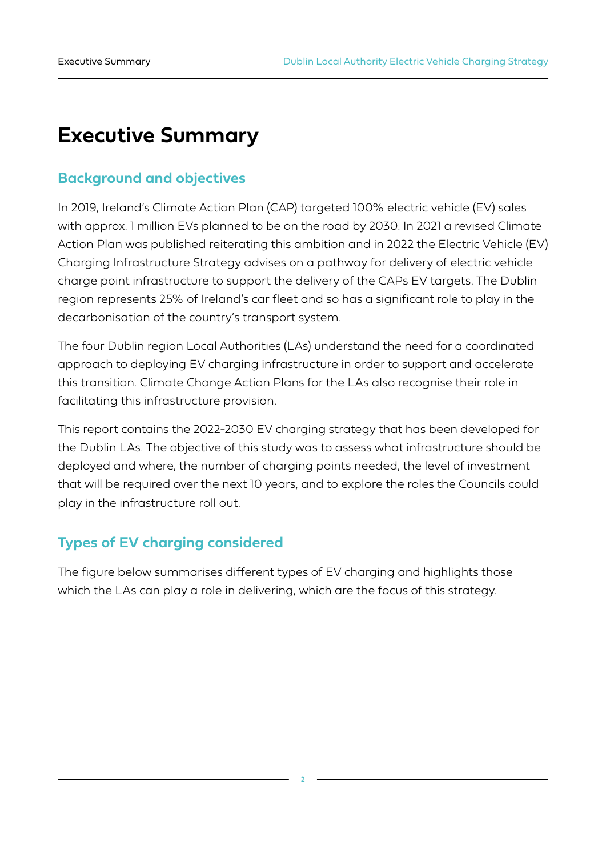## **Executive Summary**

## **Background and objectives**

In 2019, Ireland's Climate Action Plan (CAP) targeted 100% electric vehicle (EV) sales with approx. 1 million EVs planned to be on the road by 2030. In 2021 a revised Climate Action Plan was published reiterating this ambition and in 2022 the Electric Vehicle (EV) Charging Infrastructure Strategy advises on a pathway for delivery of electric vehicle charge point infrastructure to support the delivery of the CAPs EV targets. The Dublin region represents 25% of Ireland's car fleet and so has a significant role to play in the decarbonisation of the country's transport system.

The four Dublin region Local Authorities (LAs) understand the need for a coordinated approach to deploying EV charging infrastructure in order to support and accelerate this transition. Climate Change Action Plans for the LAs also recognise their role in facilitating this infrastructure provision.

This report contains the 2022-2030 EV charging strategy that has been developed for the Dublin LAs. The objective of this study was to assess what infrastructure should be deployed and where, the number of charging points needed, the level of investment that will be required over the next 10 years, and to explore the roles the Councils could play in the infrastructure roll out.

## **Types of EV charging considered**

The figure below summarises different types of EV charging and highlights those which the LAs can play a role in delivering, which are the focus of this strategy.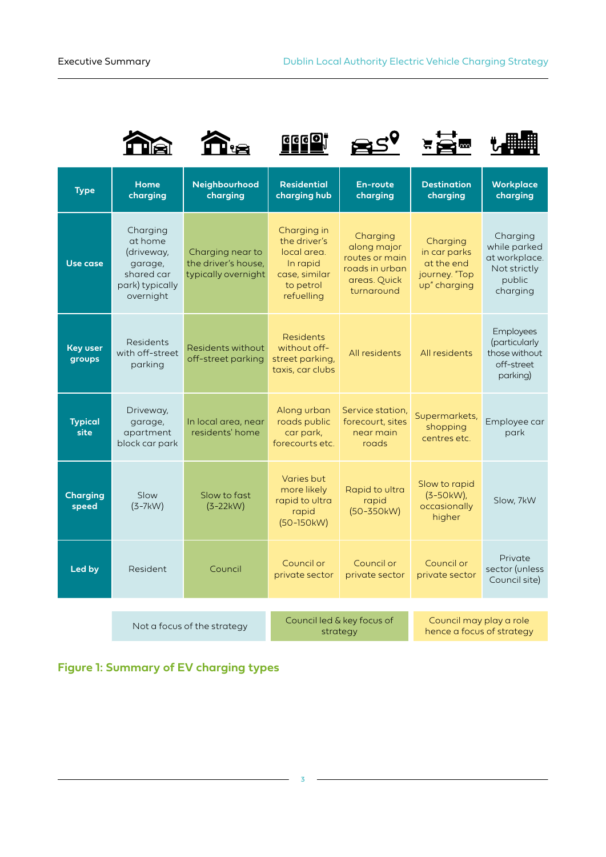









| <b>Type</b>               | <b>Home</b><br>charging                                                                    | Neighbourhood<br>charging                                      | <b>Residential</b><br>charging hub                                                                                   | <b>En-route</b><br>charging                                                               | <b>Destination</b><br>charging                                          | <b>Workplace</b><br>charging                                                    |  |
|---------------------------|--------------------------------------------------------------------------------------------|----------------------------------------------------------------|----------------------------------------------------------------------------------------------------------------------|-------------------------------------------------------------------------------------------|-------------------------------------------------------------------------|---------------------------------------------------------------------------------|--|
| Use case                  | Charging<br>at home<br>(driveway,<br>garage,<br>shared car<br>park) typically<br>overnight | Charging near to<br>the driver's house,<br>typically overnight | Charging in<br>the driver's<br>local area.<br>In rapid<br>case, similar<br>to petrol<br>refuelling                   | Charging<br>along major<br>routes or main<br>roads in urban<br>areas. Quick<br>turnaround | Charging<br>in car parks<br>at the end<br>journey. "Top<br>up" charging | Charging<br>while parked<br>at workplace.<br>Not strictly<br>public<br>charging |  |
| <b>Key user</b><br>groups | Residents<br>with off-street<br>parking                                                    | Residents without<br>off-street parking                        | <b>Residents</b><br>without off-<br>street parking,<br>taxis, car clubs                                              | All residents                                                                             | All residents                                                           | Employees<br>(particularly<br>those without<br>off-street<br>parking)           |  |
| <b>Typical</b><br>site    | Driveway,<br>garage,<br>apartment<br>block car park                                        | In local area, near<br>residents' home                         | Along urban<br>roads public<br>car park,<br>forecourts etc.                                                          | Service station,<br>forecourt, sites<br>near main<br>roads                                | Supermarkets,<br>shopping<br>centres etc.                               | Employee car<br>park                                                            |  |
| <b>Charging</b><br>speed  | Slow<br>$(3-7kW)$                                                                          | Slow to fast<br>$(3-22kW)$                                     | Varies but<br>more likely<br>Rapid to ultra<br>rapid to ultra<br>rapid<br>$(50 - 350kW)$<br>rapid<br>$(50 - 150$ kW) |                                                                                           | Slow to rapid<br>$(3-50kW)$<br>occasionally<br>higher                   | Slow, 7kW                                                                       |  |
| Led by                    | <b>Resident</b>                                                                            | Council                                                        | Council or<br>private sector                                                                                         | Council or<br>private sector                                                              | Council or<br>private sector                                            | Private<br>sector (unless<br>Council site)                                      |  |
|                           |                                                                                            |                                                                |                                                                                                                      |                                                                                           |                                                                         |                                                                                 |  |
|                           |                                                                                            | Not a focus of the strategy                                    | strategy                                                                                                             | Council led & key focus of                                                                | Council may play a role<br>hence a focus of strategy                    |                                                                                 |  |

**Figure 1: Summary of EV charging types**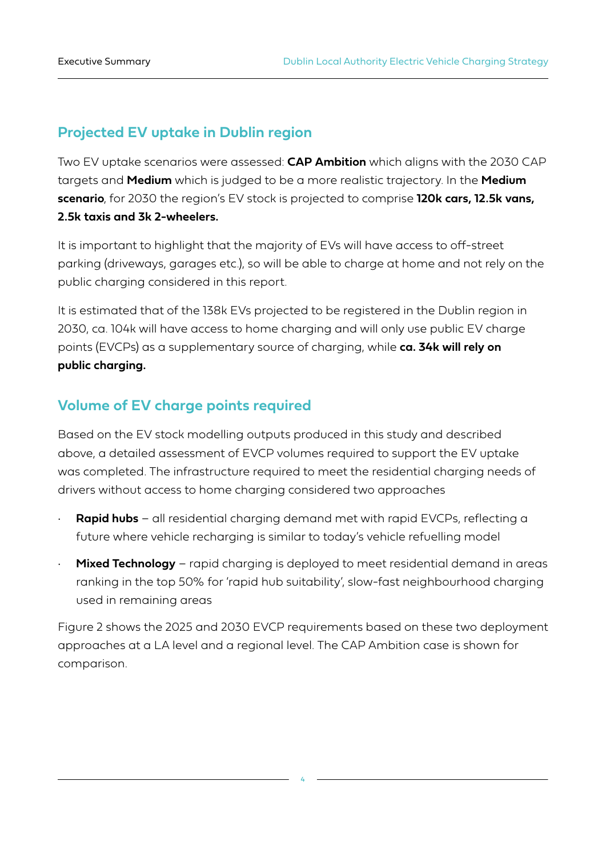## **Projected EV uptake in Dublin region**

Two EV uptake scenarios were assessed: **CAP Ambition** which aligns with the 2030 CAP targets and **Medium** which is judged to be a more realistic trajectory. In the **Medium scenario**, for 2030 the region's EV stock is projected to comprise **120k cars, 12.5k vans, 2.5k taxis and 3k 2-wheelers.**

It is important to highlight that the majority of EVs will have access to off-street parking (driveways, garages etc.), so will be able to charge at home and not rely on the public charging considered in this report.

It is estimated that of the 138k EVs projected to be registered in the Dublin region in 2030, ca. 104k will have access to home charging and will only use public EV charge points (EVCPs) as a supplementary source of charging, while **ca. 34k will rely on public charging.**

## **Volume of EV charge points required**

Based on the EV stock modelling outputs produced in this study and described above, a detailed assessment of EVCP volumes required to support the EV uptake was completed. The infrastructure required to meet the residential charging needs of drivers without access to home charging considered two approaches

- **Rapid hubs** all residential charging demand met with rapid EVCPs, reflecting a future where vehicle recharging is similar to today's vehicle refuelling model
- **Mixed Technology** rapid charging is deployed to meet residential demand in areas ranking in the top 50% for 'rapid hub suitability', slow-fast neighbourhood charging used in remaining areas

Figure 2 shows the 2025 and 2030 EVCP requirements based on these two deployment approaches at a LA level and a regional level. The CAP Ambition case is shown for comparison.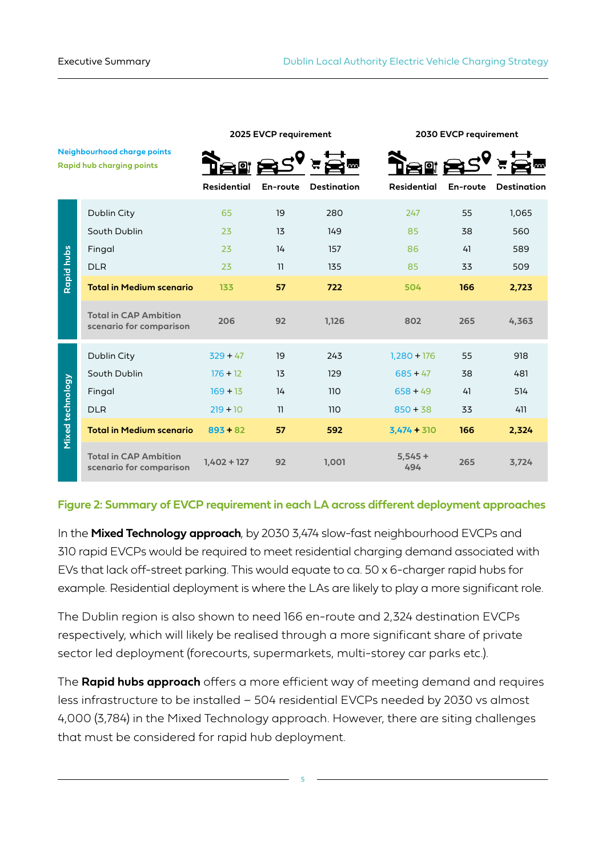|                                                                 |                                                         |                    | 2025 EVCP requirement   |                         |                    | 2030 EVCP requirement |                    |  |
|-----------------------------------------------------------------|---------------------------------------------------------|--------------------|-------------------------|-------------------------|--------------------|-----------------------|--------------------|--|
| Neighbourhood charge points<br><b>Rapid hub charging points</b> |                                                         | <b>Residential</b> | En-route                | m<br><b>Destination</b> | <b>Residential</b> | En-route              | <b>Destination</b> |  |
|                                                                 |                                                         |                    |                         |                         |                    |                       |                    |  |
|                                                                 | Dublin City                                             | 65                 | 19                      | 280                     | 247                | 55                    | 1,065              |  |
| Rapid hubs                                                      | South Dublin                                            | 23                 | 13                      | 149                     | 85                 | 38                    | 560                |  |
|                                                                 | Fingal                                                  | 23                 | 14                      | 157                     | 86                 | 41                    | 589                |  |
|                                                                 | <b>DLR</b>                                              | 23                 | $\overline{\mathbf{1}}$ | 135                     | 85                 | 33                    | 509                |  |
|                                                                 | <b>Total in Medium scenario</b>                         | 133                | 57                      | 722                     | 504                | 166                   | 2,723              |  |
|                                                                 | <b>Total in CAP Ambition</b><br>scenario for comparison | 206                | 92                      | 1,126                   | 802                | 265                   | 4,363              |  |
|                                                                 | Dublin City                                             | $329 + 47$         | 19                      | 243                     | $1,280 + 176$      | 55                    | 918                |  |
| Mixed technology                                                | South Dublin                                            | $176 + 12$         | 13                      | 129                     | $685 + 47$         | 38                    | 481                |  |
|                                                                 | Fingal                                                  | $169 + 13$         | 14                      | 110                     | $658 + 49$         | 41                    | 514                |  |
|                                                                 | <b>DLR</b>                                              | $219 + 10$         | 11                      | 110                     | $850 + 38$         | 33                    | 411                |  |
|                                                                 | <b>Total in Medium scenario</b>                         | $893 + 82$         | 57                      | 592                     | $3,474 + 310$      | 166                   | 2,324              |  |
|                                                                 | <b>Total in CAP Ambition</b><br>scenario for comparison | $1.402 + 127$      | 92                      | 1,001                   | $5,545+$<br>494    | 265                   | 3,724              |  |

#### **Figure 2: Summary of EVCP requirement in each LA across different deployment approaches**

In the **Mixed Technology approach**, by 2030 3,474 slow-fast neighbourhood EVCPs and 310 rapid EVCPs would be required to meet residential charging demand associated with EVs that lack off-street parking. This would equate to ca. 50 x 6-charger rapid hubs for example. Residential deployment is where the LAs are likely to play a more significant role.

The Dublin region is also shown to need 166 en-route and 2,324 destination EVCPs respectively, which will likely be realised through a more significant share of private sector led deployment (forecourts, supermarkets, multi-storey car parks etc.).

The **Rapid hubs approach** offers a more efficient way of meeting demand and requires less infrastructure to be installed – 504 residential EVCPs needed by 2030 vs almost 4,000 (3,784) in the Mixed Technology approach. However, there are siting challenges that must be considered for rapid hub deployment.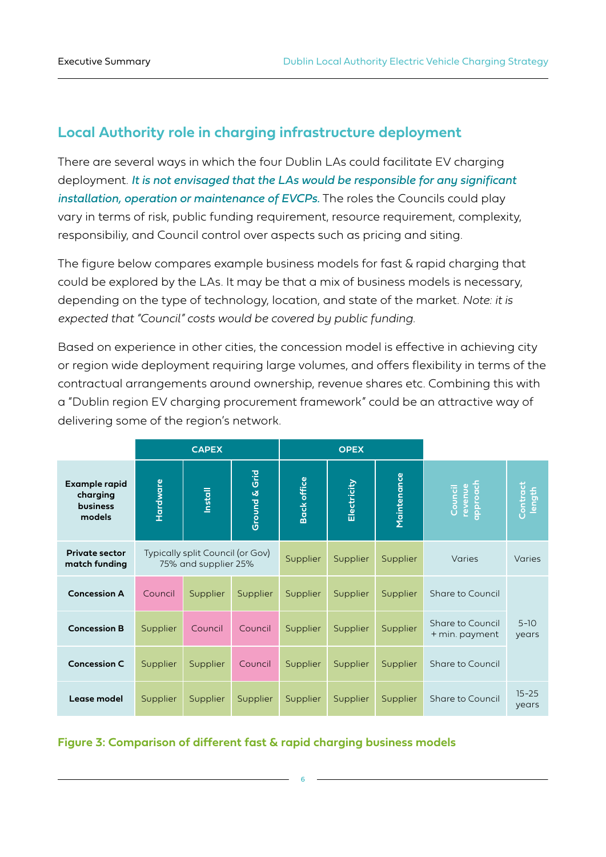## **Local Authority role in charging infrastructure deployment**

There are several ways in which the four Dublin LAs could facilitate EV charging deployment. *It is not envisaged that the LAs would be responsible for any significant installation, operation or maintenance of EVCPs.* The roles the Councils could play vary in terms of risk, public funding requirement, resource requirement, complexity, responsibiliy, and Council control over aspects such as pricing and siting.

The figure below compares example business models for fast & rapid charging that could be explored by the LAs. It may be that a mix of business models is necessary, depending on the type of technology, location, and state of the market. *Note: it is expected that "Council" costs would be covered by public funding.* 

Based on experience in other cities, the concession model is effective in achieving city or region wide deployment requiring large volumes, and offers flexibility in terms of the contractual arrangements around ownership, revenue shares etc. Combining this with a "Dublin region EV charging procurement framework" could be an attractive way of delivering some of the region's network.

|                                                        | <b>CAPEX</b>                                             |                |               | <b>OPEX</b>        |             |             |                                    |                    |  |
|--------------------------------------------------------|----------------------------------------------------------|----------------|---------------|--------------------|-------------|-------------|------------------------------------|--------------------|--|
| Example rapid<br>charging<br><b>business</b><br>models | Hardware                                                 | <b>Install</b> | Ground & Grid | <b>Back office</b> | Electricity | Maintenance | approach<br>revenue<br>Council     | Contract<br>length |  |
| <b>Private sector</b><br>match funding                 | Typically split Council (or Gov)<br>75% and supplier 25% |                |               | Supplier           | Supplier    | Supplier    | Varies                             | Varies             |  |
| <b>Concession A</b>                                    | Council                                                  | Supplier       | Supplier      | Supplier           | Supplier    | Supplier    | Share to Council                   |                    |  |
| <b>Concession B</b>                                    | Supplier                                                 | Council        | Council       | Supplier           | Supplier    | Supplier    | Share to Council<br>+ min. payment | $5 - 10$<br>years  |  |
| <b>Concession C</b>                                    | Supplier                                                 | Supplier       | Council       | Supplier           | Supplier    | Supplier    | Share to Council                   |                    |  |
| Lease model                                            | Supplier                                                 | Supplier       | Supplier      | Supplier           | Supplier    | Supplier    | Share to Council                   | $15 - 25$<br>years |  |

#### **Figure 3: Comparison of different fast & rapid charging business models**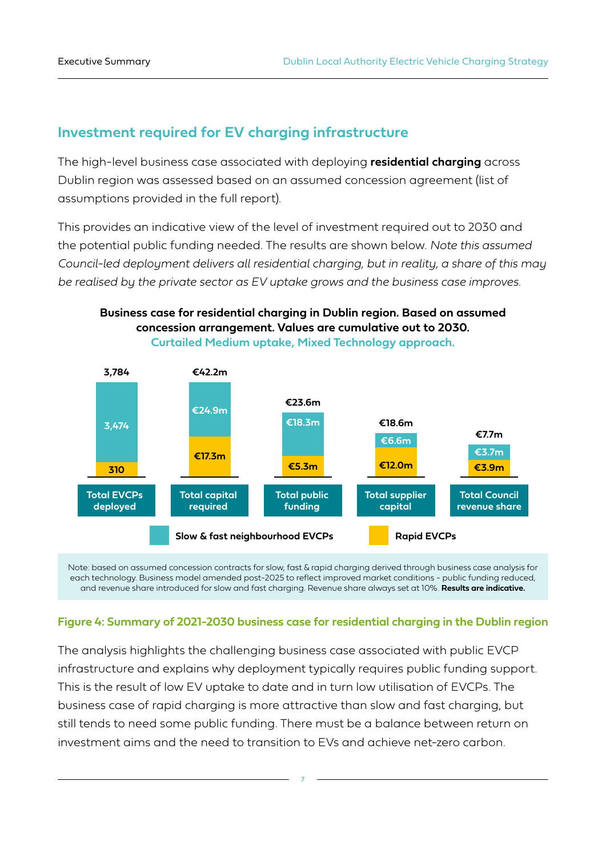## **Investment required for EV charging infrastructure**

The high-level business case associated with deploying **residential charging** across Dublin region was assessed based on an assumed concession agreement (list of assumptions provided in the full report).

This provides an indicative view of the level of investment required out to 2030 and the potential public funding needed. The results are shown below. *Note this assumed Council-led deployment delivers all residential charging, but in reality, a share of this may be realised by the private sector as EV uptake grows and the business case improves.* 

#### **Business case for residential charging in Dublin region. Based on assumed concession arrangement. Values are cumulative out to 2030. Curtailed Medium uptake, Mixed Technology approach.**





#### **Figure 4: Summary of 2021-2030 business case for residential charging in the Dublin region**

The analysis highlights the challenging business case associated with public EVCP infrastructure and explains why deployment typically requires public funding support. This is the result of low EV uptake to date and in turn low utilisation of EVCPs. The business case of rapid charging is more attractive than slow and fast charging, but still tends to need some public funding. There must be a balance between return on investment aims and the need to transition to EVs and achieve net-zero carbon.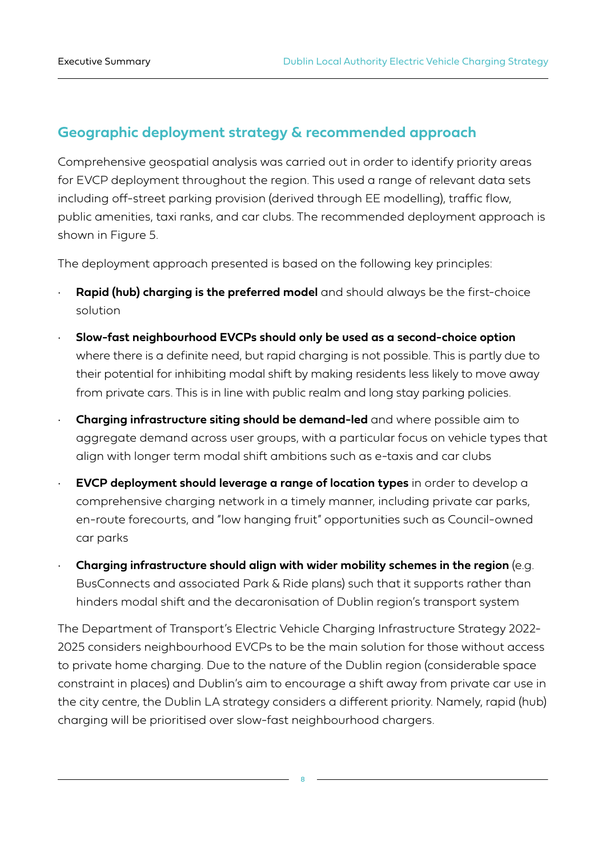## **Geographic deployment strategy & recommended approach**

Comprehensive geospatial analysis was carried out in order to identify priority areas for EVCP deployment throughout the region. This used a range of relevant data sets including off-street parking provision (derived through EE modelling), traffic flow, public amenities, taxi ranks, and car clubs. The recommended deployment approach is shown in Figure 5.

The deployment approach presented is based on the following key principles:

- **Rapid (hub) charging is the preferred model** and should always be the first-choice solution
- **Slow-fast neighbourhood EVCPs should only be used as a second-choice option** where there is a definite need, but rapid charging is not possible. This is partly due to their potential for inhibiting modal shift by making residents less likely to move away from private cars. This is in line with public realm and long stay parking policies.
- **Charging infrastructure siting should be demand-led** and where possible aim to aggregate demand across user groups, with a particular focus on vehicle types that align with longer term modal shift ambitions such as e-taxis and car clubs
- **EVCP deployment should leverage a range of location types** in order to develop a comprehensive charging network in a timely manner, including private car parks, en-route forecourts, and "low hanging fruit" opportunities such as Council-owned car parks
- **Charging infrastructure should align with wider mobility schemes in the region** (e.g. BusConnects and associated Park & Ride plans) such that it supports rather than hinders modal shift and the decaronisation of Dublin region's transport system

The Department of Transport's Electric Vehicle Charging Infrastructure Strategy 2022- 2025 considers neighbourhood EVCPs to be the main solution for those without access to private home charging. Due to the nature of the Dublin region (considerable space constraint in places) and Dublin's aim to encourage a shift away from private car use in the city centre, the Dublin LA strategy considers a different priority. Namely, rapid (hub) charging will be prioritised over slow-fast neighbourhood chargers.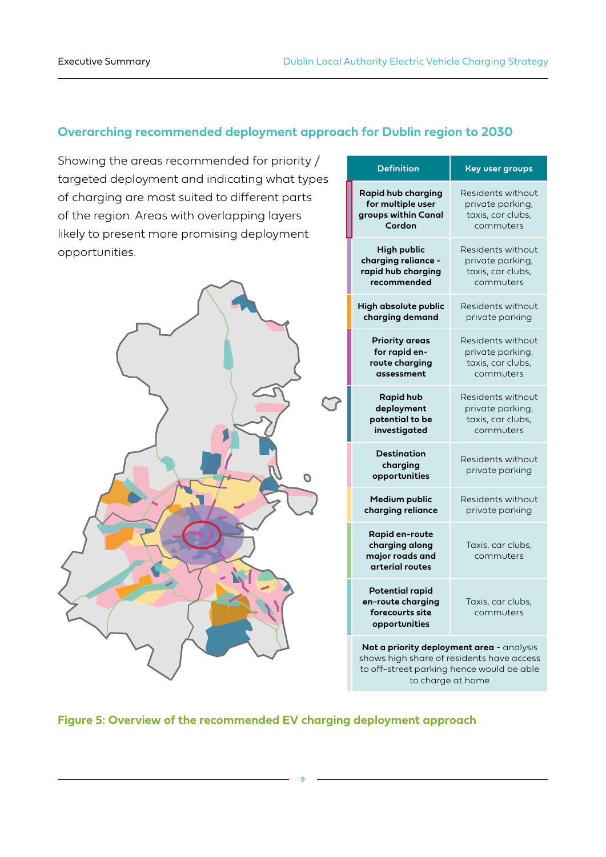### **Overarching recommended deployment approach for Dublin region to 2030**

Showing the areas recommended for priority / targeted deployment and indicating what types of charging are most suited to different parts of the region. Areas with overlapping layers likely to present more promising deployment opportunities.



| <b>Definition</b>                                                                                                                   | <b>Key user groups</b>               |  |  |  |
|-------------------------------------------------------------------------------------------------------------------------------------|--------------------------------------|--|--|--|
| <b>Rapid hub charging</b>                                                                                                           | Residents without                    |  |  |  |
| for multiple user                                                                                                                   | private parking,                     |  |  |  |
| groups within Canal                                                                                                                 | taxis, car clubs,                    |  |  |  |
| Cordon                                                                                                                              | commuters                            |  |  |  |
| <b>High public</b>                                                                                                                  | Residents without                    |  |  |  |
| charging reliance -                                                                                                                 | private parking,                     |  |  |  |
| rapid hub charging                                                                                                                  | taxis, car clubs,                    |  |  |  |
| recommended                                                                                                                         | commuters                            |  |  |  |
| High absolute public                                                                                                                | Residents without                    |  |  |  |
| charging demand                                                                                                                     | private parking                      |  |  |  |
| <b>Priority areas</b>                                                                                                               | Residents without                    |  |  |  |
| for rapid en-                                                                                                                       | private parking,                     |  |  |  |
| route charging                                                                                                                      | taxis, car clubs,                    |  |  |  |
| assessment                                                                                                                          | commuters                            |  |  |  |
| <b>Rapid hub</b>                                                                                                                    | Residents without                    |  |  |  |
| deployment                                                                                                                          | private parking,                     |  |  |  |
| potential to be                                                                                                                     | taxis, car clubs,                    |  |  |  |
| investigated                                                                                                                        | commuters                            |  |  |  |
| Destination<br>charging<br>opportunities                                                                                            | Residents without<br>private parking |  |  |  |
| Medium public                                                                                                                       | Residents without                    |  |  |  |
| charging reliance                                                                                                                   | private parking                      |  |  |  |
| <b>Rapid en-route</b><br>charging along<br>major roads and<br>arterial routes                                                       | Taxis, car clubs,<br>commuters       |  |  |  |
| <b>Potential rapid</b><br>en-route charging<br>forecourts site<br>opportunities                                                     | Taxis, car clubs,<br>commuters       |  |  |  |
| Not a priority deployment area - analysis<br>shows high share of residents have access<br>to off-street parking hence would be able |                                      |  |  |  |

to charge at home

**Figure 5: Overview of the recommended EV charging deployment approach**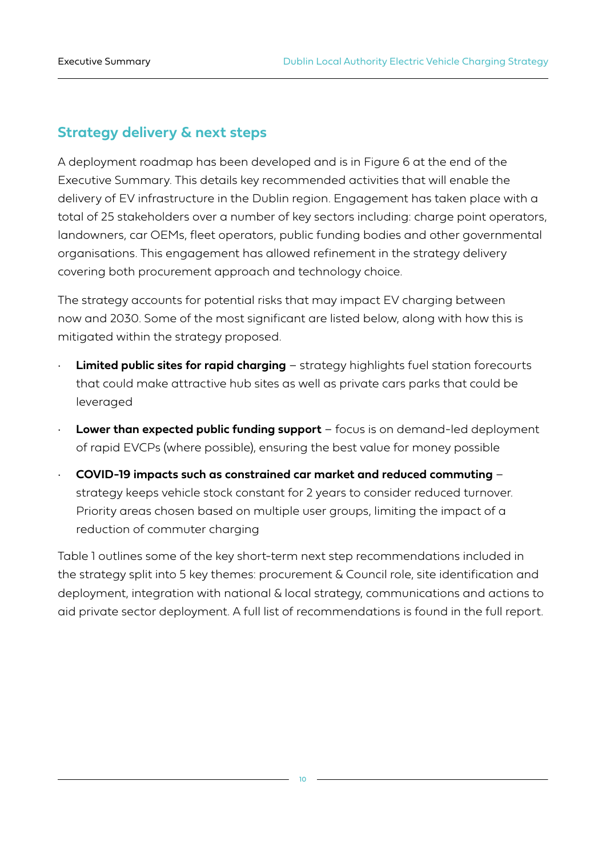## **Strategy delivery & next steps**

A deployment roadmap has been developed and is in Figure 6 at the end of the Executive Summary. This details key recommended activities that will enable the delivery of EV infrastructure in the Dublin region. Engagement has taken place with a total of 25 stakeholders over a number of key sectors including: charge point operators, landowners, car OEMs, fleet operators, public funding bodies and other governmental organisations. This engagement has allowed refinement in the strategy delivery covering both procurement approach and technology choice.

The strategy accounts for potential risks that may impact EV charging between now and 2030. Some of the most significant are listed below, along with how this is mitigated within the strategy proposed.

- **Limited public sites for rapid charging** strategy highlights fuel station forecourts that could make attractive hub sites as well as private cars parks that could be leveraged
- **Lower than expected public funding support** focus is on demand-led deployment of rapid EVCPs (where possible), ensuring the best value for money possible
- **COVID-19 impacts such as constrained car market and reduced commuting** strategy keeps vehicle stock constant for 2 years to consider reduced turnover. Priority areas chosen based on multiple user groups, limiting the impact of a reduction of commuter charging

Table 1 outlines some of the key short-term next step recommendations included in the strategy split into 5 key themes: procurement & Council role, site identification and deployment, integration with national & local strategy, communications and actions to aid private sector deployment. A full list of recommendations is found in the full report.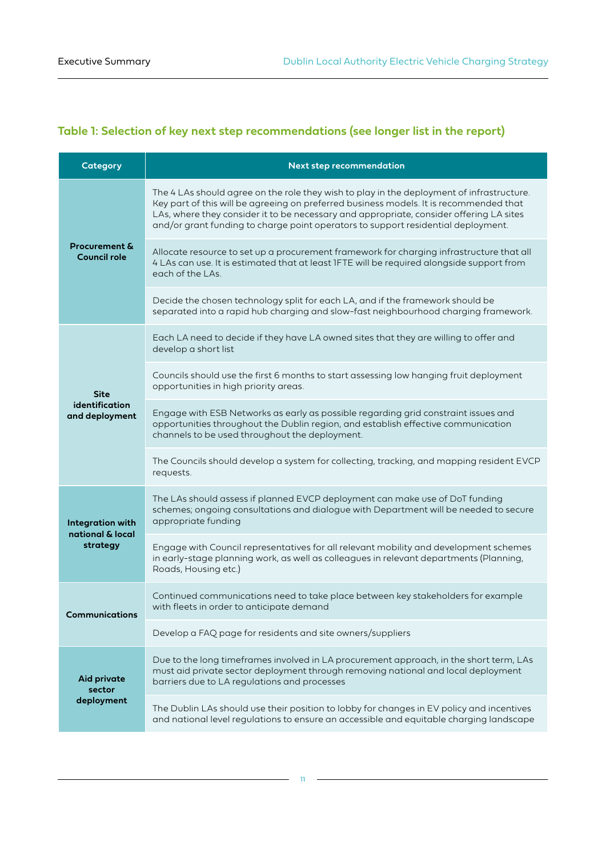## **Table 1: Selection of key next step recommendations (see longer list in the report)**

| Category                                        | <b>Next step recommendation</b>                                                                                                                                                                                                                                                                                                                                     |
|-------------------------------------------------|---------------------------------------------------------------------------------------------------------------------------------------------------------------------------------------------------------------------------------------------------------------------------------------------------------------------------------------------------------------------|
|                                                 | The 4 LAs should agree on the role they wish to play in the deployment of infrastructure.<br>Key part of this will be agreeing on preferred business models. It is recommended that<br>LAs, where they consider it to be necessary and appropriate, consider offering LA sites<br>and/or grant funding to charge point operators to support residential deployment. |
| <b>Procurement &amp;</b><br><b>Council role</b> | Allocate resource to set up a procurement framework for charging infrastructure that all<br>4 LAs can use. It is estimated that at least IFTE will be required alongside support from<br>each of the LAs.                                                                                                                                                           |
|                                                 | Decide the chosen technology split for each LA, and if the framework should be<br>separated into a rapid hub charging and slow-fast neighbourhood charging framework.                                                                                                                                                                                               |
|                                                 | Each LA need to decide if they have LA owned sites that they are willing to offer and<br>develop a short list                                                                                                                                                                                                                                                       |
| <b>Site</b>                                     | Councils should use the first 6 months to start assessing low hanging fruit deployment<br>opportunities in high priority areas.                                                                                                                                                                                                                                     |
| identification<br>and deployment                | Engage with ESB Networks as early as possible regarding grid constraint issues and<br>opportunities throughout the Dublin region, and establish effective communication<br>channels to be used throughout the deployment.                                                                                                                                           |
|                                                 | The Councils should develop a system for collecting, tracking, and mapping resident EVCP<br>requests.                                                                                                                                                                                                                                                               |
| <b>Integration with</b>                         | The LAs should assess if planned EVCP deployment can make use of DoT funding<br>schemes; ongoing consultations and dialogue with Department will be needed to secure<br>appropriate funding                                                                                                                                                                         |
| national & local<br>strategy                    | Engage with Council representatives for all relevant mobility and development schemes<br>in early-stage planning work, as well as colleagues in relevant departments (Planning,<br>Roads, Housing etc.)                                                                                                                                                             |
| <b>Communications</b>                           | Continued communications need to take place between key stakeholders for example<br>with fleets in order to anticipate demand                                                                                                                                                                                                                                       |
|                                                 | Develop a FAQ page for residents and site owners/suppliers                                                                                                                                                                                                                                                                                                          |
| <b>Aid private</b><br>sector                    | Due to the long timeframes involved in LA procurement approach, in the short term, LAs<br>must aid private sector deployment through removing national and local deployment<br>barriers due to LA regulations and processes                                                                                                                                         |
| deployment                                      | The Dublin LAs should use their position to lobby for changes in EV policy and incentives<br>and national level regulations to ensure an accessible and equitable charging landscape                                                                                                                                                                                |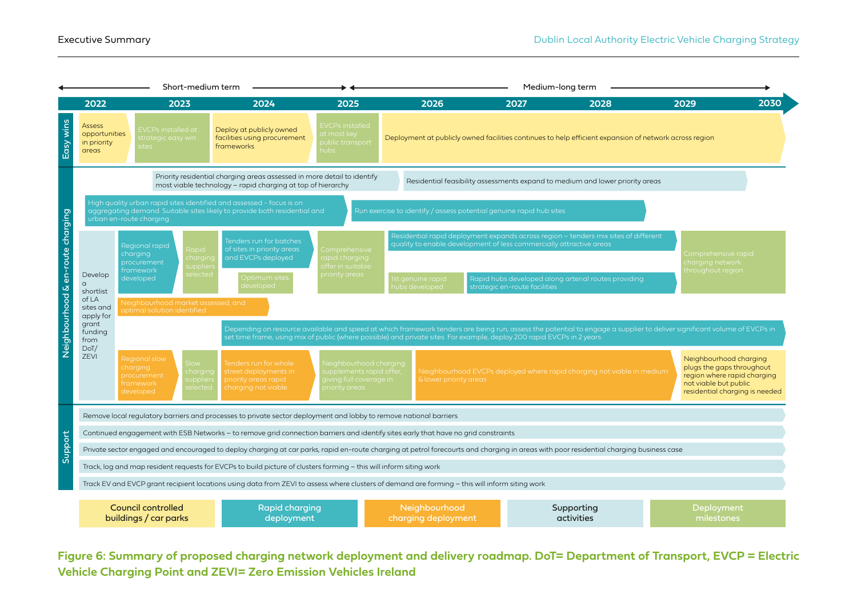

**Figure 6: Summary of proposed charging network deployment and delivery roadmap. DoT= Department of Transport, EVCP = Electric Vehicle Charging Point and ZEVI= Zero Emission Vehicles Ireland**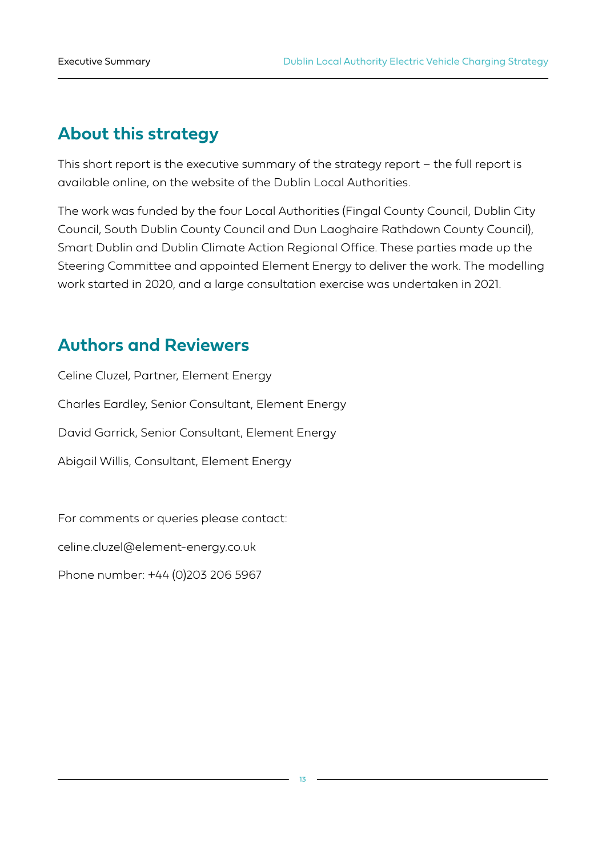## **About this strategy**

This short report is the executive summary of the strategy report – the full report is available online, on the website of the Dublin Local Authorities.

The work was funded by the four Local Authorities (Fingal County Council, Dublin City Council, South Dublin County Council and Dun Laoghaire Rathdown County Council), Smart Dublin and Dublin Climate Action Regional Office. These parties made up the Steering Committee and appointed Element Energy to deliver the work. The modelling work started in 2020, and a large consultation exercise was undertaken in 2021.

## **Authors and Reviewers**

Celine Cluzel, Partner, Element Energy Charles Eardley, Senior Consultant, Element Energy David Garrick, Senior Consultant, Element Energy Abigail Willis, Consultant, Element Energy

For comments or queries please contact:

celine.cluzel@element-energy.co.uk

Phone number: +44 (0)203 206 5967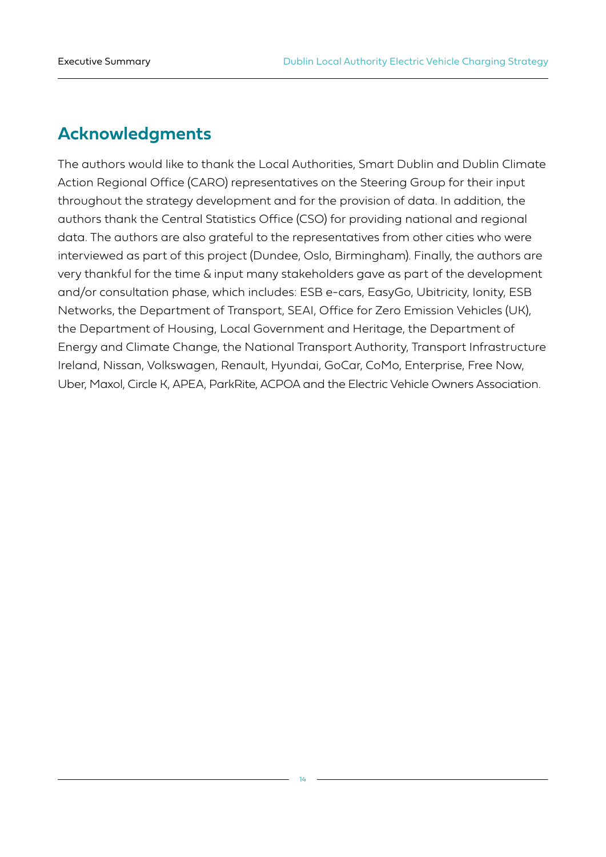## **Acknowledgments**

The authors would like to thank the Local Authorities, Smart Dublin and Dublin Climate Action Regional Office (CARO) representatives on the Steering Group for their input throughout the strategy development and for the provision of data. In addition, the authors thank the Central Statistics Office (CSO) for providing national and regional data. The authors are also grateful to the representatives from other cities who were interviewed as part of this project (Dundee, Oslo, Birmingham). Finally, the authors are very thankful for the time & input many stakeholders gave as part of the development and/or consultation phase, which includes: ESB e-cars, EasyGo, Ubitricity, Ionity, ESB Networks, the Department of Transport, SEAI, Office for Zero Emission Vehicles (UK), the Department of Housing, Local Government and Heritage, the Department of Energy and Climate Change, the National Transport Authority, Transport Infrastructure Ireland, Nissan, Volkswagen, Renault, Hyundai, GoCar, CoMo, Enterprise, Free Now, Uber, Maxol, Circle K, APEA, ParkRite, ACPOA and the Electric Vehicle Owners Association.